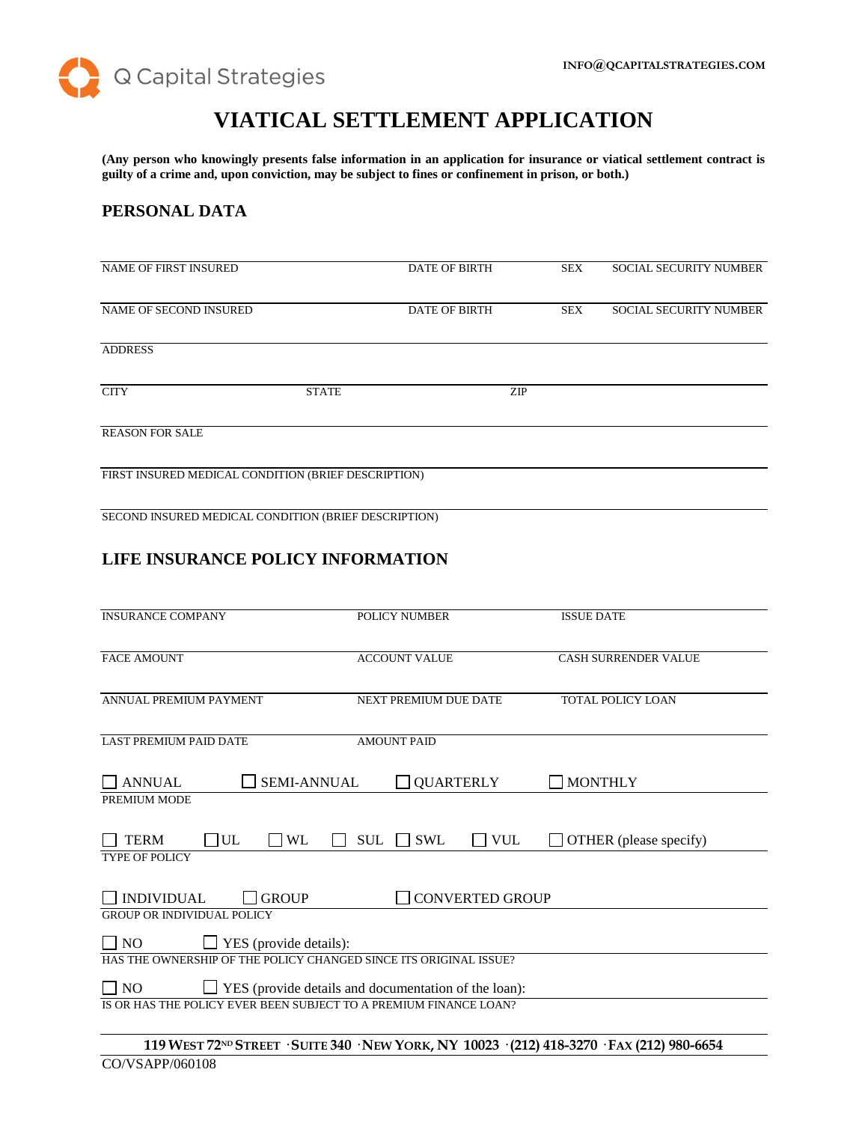Q Capital Strategies

# **VIATICAL SETTLEMENT APPLICATION**

**(Any person who knowingly presents false information in an application for insurance or viatical settlement contract is guilty of a crime and, upon conviction, may be subject to fines or confinement in prison, or both.)**

# **PERSONAL DATA**

| <b>NAME OF FIRST INSURED</b>                        |              | <b>DATE OF BIRTH</b> | <b>SEX</b> | <b>SOCIAL SECURITY NUMBER</b> |
|-----------------------------------------------------|--------------|----------------------|------------|-------------------------------|
| NAME OF SECOND INSURED                              |              | <b>DATE OF BIRTH</b> | <b>SEX</b> | <b>SOCIAL SECURITY NUMBER</b> |
| <b>ADDRESS</b>                                      |              |                      |            |                               |
| <b>CITY</b>                                         | <b>STATE</b> | <b>ZIP</b>           |            |                               |
| <b>REASON FOR SALE</b>                              |              |                      |            |                               |
| FIRST INSURED MEDICAL CONDITION (BRIEF DESCRIPTION) |              |                      |            |                               |
|                                                     |              |                      |            |                               |

SECOND INSURED MEDICAL CONDITION (BRIEF DESCRIPTION)

# **LIFE INSURANCE POLICY INFORMATION**

| <b>INSURANCE COMPANY</b>                                                 | <b>POLICY NUMBER</b>                                                                                                                                                                                            | <b>ISSUE DATE</b>                      |  |
|--------------------------------------------------------------------------|-----------------------------------------------------------------------------------------------------------------------------------------------------------------------------------------------------------------|----------------------------------------|--|
| <b>FACE AMOUNT</b>                                                       | <b>ACCOUNT VALUE</b>                                                                                                                                                                                            | <b>CASH SURRENDER VALUE</b>            |  |
| <b>ANNUAL PREMIUM PAYMENT</b>                                            | <b>NEXT PREMIUM DUE DATE</b>                                                                                                                                                                                    | <b>TOTAL POLICY LOAN</b>               |  |
| <b>LAST PREMIUM PAID DATE</b>                                            | <b>AMOUNT PAID</b>                                                                                                                                                                                              |                                        |  |
| <b>ANNUAL</b><br><b>SEMI-ANNUAL</b>                                      | <b>QUARTERLY</b>                                                                                                                                                                                                | <b>MONTHLY</b>                         |  |
| PREMIUM MODE                                                             |                                                                                                                                                                                                                 |                                        |  |
| UL<br><b>TERM</b><br>WL<br><b>TYPE OF POLICY</b>                         | <b>SWL</b><br><b>VUL</b><br><b>SUL</b>                                                                                                                                                                          | OTHER (please specify)<br>$\mathbf{I}$ |  |
|                                                                          |                                                                                                                                                                                                                 |                                        |  |
| <b>INDIVIDUAL</b><br><b>GROUP</b>                                        | <b>CONVERTED GROUP</b>                                                                                                                                                                                          |                                        |  |
| <b>GROUP OR INDIVIDUAL POLICY</b>                                        |                                                                                                                                                                                                                 |                                        |  |
| $\Box$ YES (provide details):<br>$\overline{\phantom{0}}$ NO             |                                                                                                                                                                                                                 |                                        |  |
| HAS THE OWNERSHIP OF THE POLICY CHANGED SINCE ITS ORIGINAL ISSUE?        |                                                                                                                                                                                                                 |                                        |  |
| $\Box$ NO<br>$\Box$ YES (provide details and documentation of the loan): |                                                                                                                                                                                                                 |                                        |  |
| IS OR HAS THE POLICY EVER BEEN SUBJECT TO A PREMIUM FINANCE LOAN?        |                                                                                                                                                                                                                 |                                        |  |
|                                                                          | 110 $\frac{100 \text{ M}}{20 \text{ N}}$ Control Curry 240 $\frac{N}{\text{F}}$ (2007 $\frac{N}{\text{F}}$ 10022 $\frac{1010}{200}$ 410 2270 $\text{F}_{4}$ $\frac{1}{\text{F}}$ (212) 080 $\frac{1}{\text{F}}$ |                                        |  |

#### 119 WEST 72<sup>ND</sup> STREET · SUITE 340 · NEW YORK, NY 10023 · (212) 418-3270 · FAX (212) 980-6654 CO/VSAPP/060108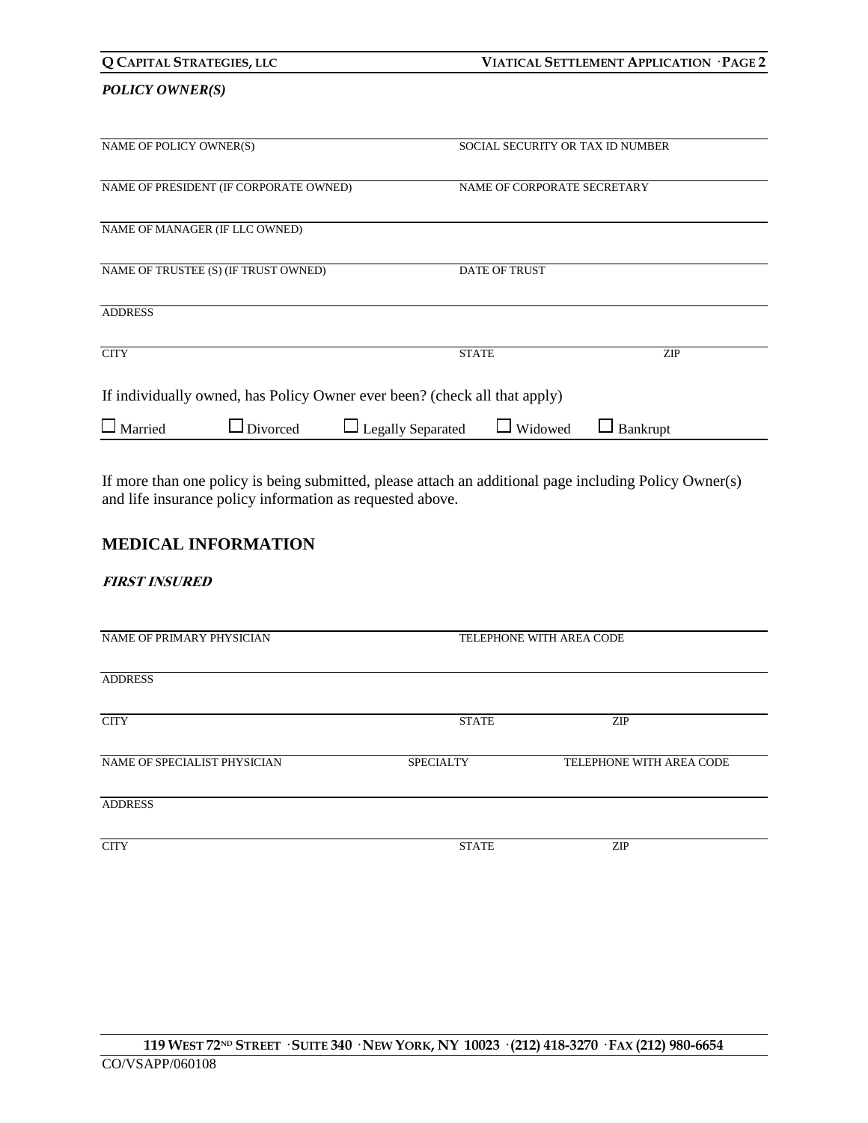| Q CAPITAL STRATEGIES, LLC |                                        |                                                                           | VIATICAL SETTLEMENT APPLICATION · PAGE 2 |          |  |
|---------------------------|----------------------------------------|---------------------------------------------------------------------------|------------------------------------------|----------|--|
| <b>POLICY OWNER(S)</b>    |                                        |                                                                           |                                          |          |  |
| NAME OF POLICY OWNER(S)   |                                        |                                                                           | SOCIAL SECURITY OR TAX ID NUMBER         |          |  |
|                           | NAME OF PRESIDENT (IF CORPORATE OWNED) |                                                                           | NAME OF CORPORATE SECRETARY              |          |  |
|                           | NAME OF MANAGER (IF LLC OWNED)         |                                                                           |                                          |          |  |
|                           | NAME OF TRUSTEE (S) (IF TRUST OWNED)   |                                                                           | <b>DATE OF TRUST</b>                     |          |  |
| <b>ADDRESS</b>            |                                        |                                                                           |                                          |          |  |
| <b>CITY</b>               |                                        |                                                                           | <b>STATE</b>                             | ZIP      |  |
|                           |                                        | If individually owned, has Policy Owner ever been? (check all that apply) |                                          |          |  |
| Married                   | Divorced                               | □ Legally Separated                                                       | Widowed                                  | Bankrupt |  |

If more than one policy is being submitted, please attach an additional page including Policy Owner(s) and life insurance policy information as requested above.

# **MEDICAL INFORMATION**

### **FIRST INSURED**

| NAME OF PRIMARY PHYSICIAN    | TELEPHONE WITH AREA CODE |                          |  |
|------------------------------|--------------------------|--------------------------|--|
| <b>ADDRESS</b>               |                          |                          |  |
| <b>CITY</b>                  | <b>STATE</b>             | <b>ZIP</b>               |  |
| NAME OF SPECIALIST PHYSICIAN | <b>SPECIALTY</b>         | TELEPHONE WITH AREA CODE |  |
| <b>ADDRESS</b>               |                          |                          |  |
| <b>CITY</b>                  | <b>STATE</b>             | <b>ZIP</b>               |  |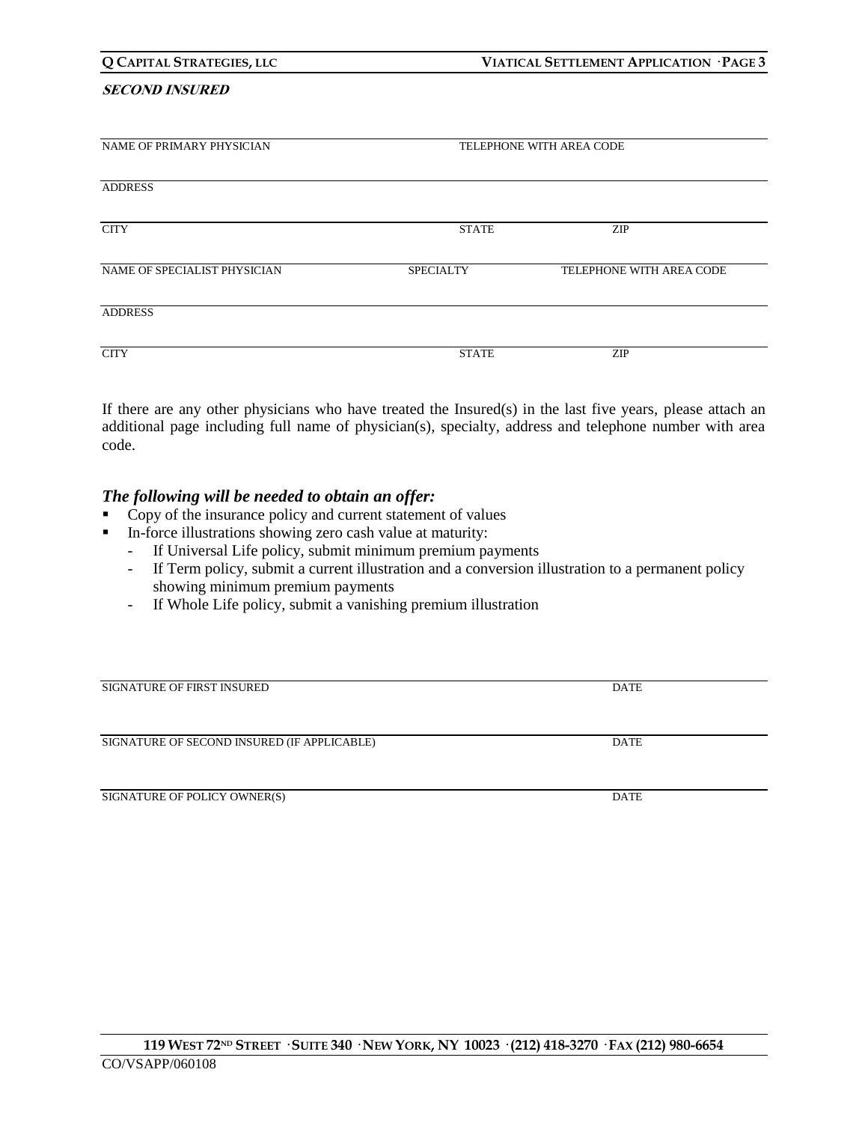#### **SECOND INSURED**

| NAME OF PRIMARY PHYSICIAN    |                  | TELEPHONE WITH AREA CODE |  |  |
|------------------------------|------------------|--------------------------|--|--|
| <b>ADDRESS</b>               |                  |                          |  |  |
| <b>CITY</b>                  | <b>STATE</b>     | <b>ZIP</b>               |  |  |
| NAME OF SPECIALIST PHYSICIAN | <b>SPECIALTY</b> | TELEPHONE WITH AREA CODE |  |  |
| <b>ADDRESS</b>               |                  |                          |  |  |
| <b>CITY</b>                  | <b>STATE</b>     | ZIP                      |  |  |

If there are any other physicians who have treated the Insured(s) in the last five years, please attach an additional page including full name of physician(s), specialty, address and telephone number with area code.

### *The following will be needed to obtain an offer:*

- Copy of the insurance policy and current statement of values
- In-force illustrations showing zero cash value at maturity:
	- If Universal Life policy, submit minimum premium payments
	- If Term policy, submit a current illustration and a conversion illustration to a permanent policy showing minimum premium payments
	- If Whole Life policy, submit a vanishing premium illustration

| <b>SIGNATURE OF FIRST INSURED</b>           | DATE        |
|---------------------------------------------|-------------|
|                                             |             |
|                                             |             |
| SIGNATURE OF SECOND INSURED (IF APPLICABLE) | <b>DATE</b> |
|                                             |             |
|                                             |             |
| SIGNATURE OF POLICY OWNER(S)                | <b>DATE</b> |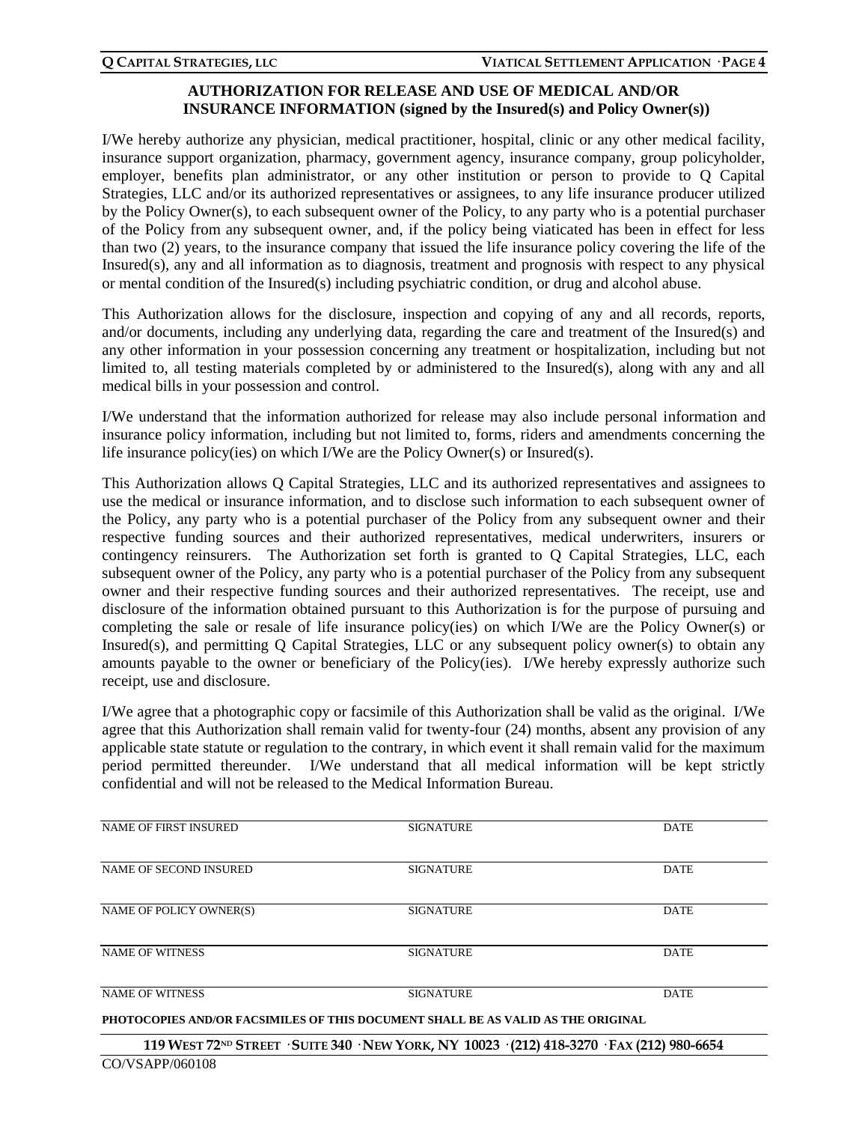# **AUTHORIZATION FOR RELEASE AND USE OF MEDICAL AND/OR INSURANCE INFORMATION (signed by the Insured(s) and Policy Owner(s))**

I/We hereby authorize any physician, medical practitioner, hospital, clinic or any other medical facility, insurance support organization, pharmacy, government agency, insurance company, group policyholder, employer, benefits plan administrator, or any other institution or person to provide to Q Capital Strategies, LLC and/or its authorized representatives or assignees, to any life insurance producer utilized by the Policy Owner(s), to each subsequent owner of the Policy, to any party who is a potential purchaser of the Policy from any subsequent owner, and, if the policy being viaticated has been in effect for less than two (2) years, to the insurance company that issued the life insurance policy covering the life of the Insured(s), any and all information as to diagnosis, treatment and prognosis with respect to any physical or mental condition of the Insured(s) including psychiatric condition, or drug and alcohol abuse.

This Authorization allows for the disclosure, inspection and copying of any and all records, reports, and/or documents, including any underlying data, regarding the care and treatment of the Insured(s) and any other information in your possession concerning any treatment or hospitalization, including but not limited to, all testing materials completed by or administered to the Insured(s), along with any and all medical bills in your possession and control.

I/We understand that the information authorized for release may also include personal information and insurance policy information, including but not limited to, forms, riders and amendments concerning the life insurance policy(ies) on which I/We are the Policy Owner(s) or Insured(s).

This Authorization allows Q Capital Strategies, LLC and its authorized representatives and assignees to use the medical or insurance information, and to disclose such information to each subsequent owner of the Policy, any party who is a potential purchaser of the Policy from any subsequent owner and their respective funding sources and their authorized representatives, medical underwriters, insurers or contingency reinsurers. The Authorization set forth is granted to Q Capital Strategies, LLC, each subsequent owner of the Policy, any party who is a potential purchaser of the Policy from any subsequent owner and their respective funding sources and their authorized representatives. The receipt, use and disclosure of the information obtained pursuant to this Authorization is for the purpose of pursuing and completing the sale or resale of life insurance policy(ies) on which I/We are the Policy Owner(s) or Insured(s), and permitting Q Capital Strategies, LLC or any subsequent policy owner(s) to obtain any amounts payable to the owner or beneficiary of the Policy(ies). I/We hereby expressly authorize such receipt, use and disclosure.

I/We agree that a photographic copy or facsimile of this Authorization shall be valid as the original. I/We agree that this Authorization shall remain valid for twenty-four (24) months, absent any provision of any applicable state statute or regulation to the contrary, in which event it shall remain valid for the maximum period permitted thereunder. I/We understand that all medical information will be kept strictly confidential and will not be released to the Medical Information Bureau.

| <b>NAME OF FIRST INSURED</b>                                                                            | <b>SIGNATURE</b> | <b>DATE</b> |  |
|---------------------------------------------------------------------------------------------------------|------------------|-------------|--|
|                                                                                                         |                  |             |  |
| NAME OF SECOND INSURED                                                                                  | <b>SIGNATURE</b> | <b>DATE</b> |  |
|                                                                                                         |                  |             |  |
| NAME OF POLICY OWNER(S)                                                                                 | <b>SIGNATURE</b> | <b>DATE</b> |  |
| <b>NAME OF WITNESS</b>                                                                                  | <b>SIGNATURE</b> | <b>DATE</b> |  |
| <b>NAME OF WITNESS</b>                                                                                  | <b>SIGNATURE</b> | <b>DATE</b> |  |
| PHOTOCOPIES AND/OR FACSIMILES OF THIS DOCUMENT SHALL BE AS VALID AS THE ORIGINAL                        |                  |             |  |
| 119 WEST 72 <sup>ND</sup> STREET · SUITE 340 · NEW YORK, NY 10023 · (212) 418-3270 · FAX (212) 980-6654 |                  |             |  |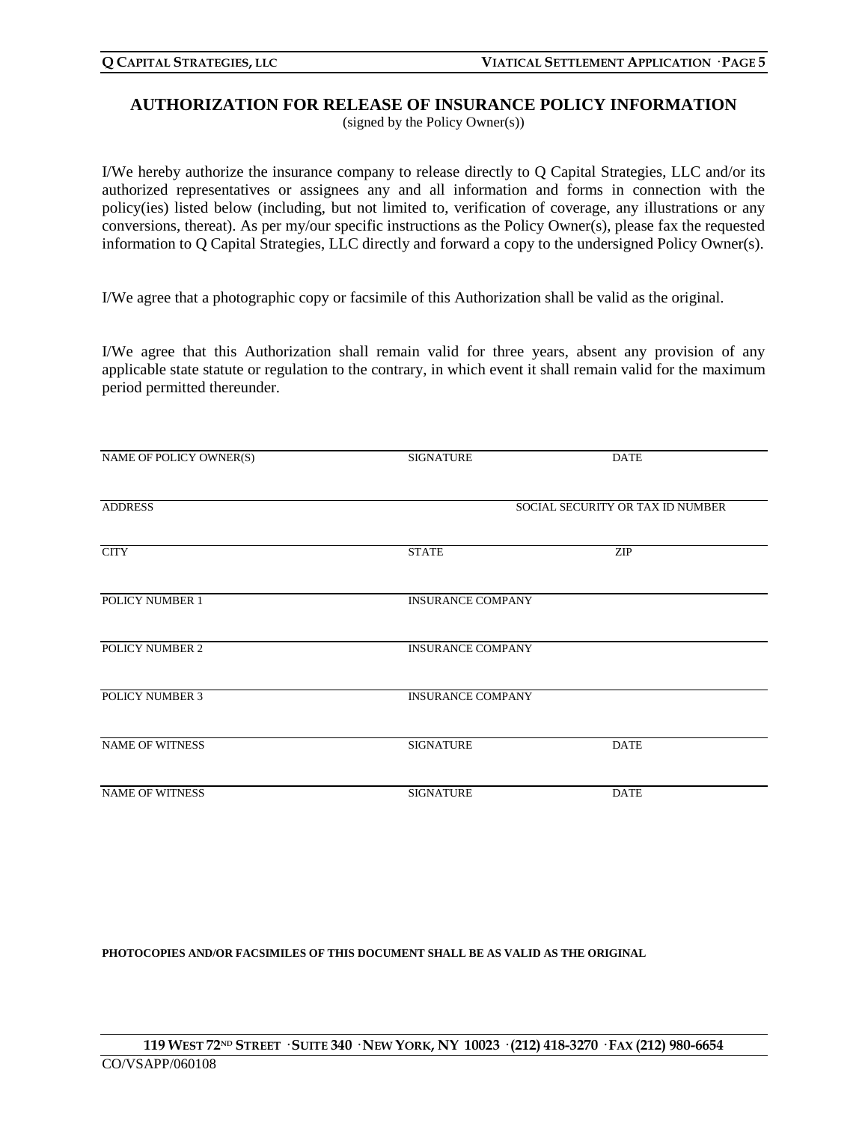# **AUTHORIZATION FOR RELEASE OF INSURANCE POLICY INFORMATION**

(signed by the Policy Owner(s))

I/We hereby authorize the insurance company to release directly to Q Capital Strategies, LLC and/or its authorized representatives or assignees any and all information and forms in connection with the policy(ies) listed below (including, but not limited to, verification of coverage, any illustrations or any conversions, thereat). As per my/our specific instructions as the Policy Owner(s), please fax the requested information to Q Capital Strategies, LLC directly and forward a copy to the undersigned Policy Owner(s).

I/We agree that a photographic copy or facsimile of this Authorization shall be valid as the original.

I/We agree that this Authorization shall remain valid for three years, absent any provision of any applicable state statute or regulation to the contrary, in which event it shall remain valid for the maximum period permitted thereunder.

| NAME OF POLICY OWNER(S) | <b>SIGNATURE</b>                 | <b>DATE</b> |  |
|-------------------------|----------------------------------|-------------|--|
| <b>ADDRESS</b>          | SOCIAL SECURITY OR TAX ID NUMBER |             |  |
| <b>CITY</b>             | <b>STATE</b>                     | <b>ZIP</b>  |  |
| POLICY NUMBER 1         | <b>INSURANCE COMPANY</b>         |             |  |
| POLICY NUMBER 2         | <b>INSURANCE COMPANY</b>         |             |  |
| <b>POLICY NUMBER 3</b>  | <b>INSURANCE COMPANY</b>         |             |  |
| <b>NAME OF WITNESS</b>  | <b>SIGNATURE</b>                 | <b>DATE</b> |  |
| <b>NAME OF WITNESS</b>  | <b>SIGNATURE</b>                 | <b>DATE</b> |  |

**PHOTOCOPIES AND/OR FACSIMILES OF THIS DOCUMENT SHALL BE AS VALID AS THE ORIGINAL**